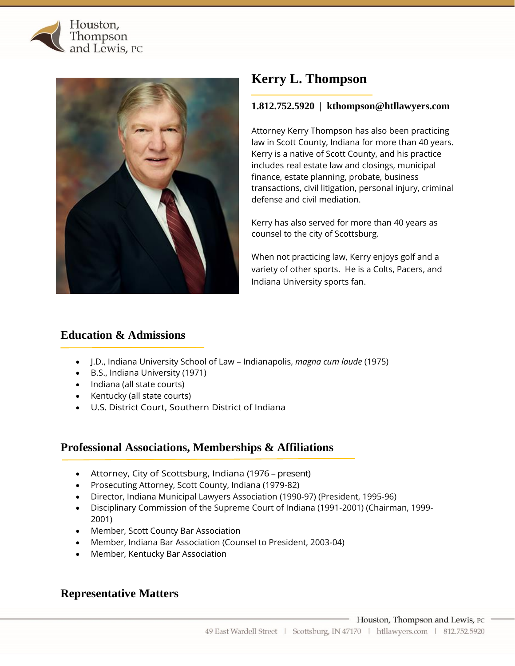



# **Kerry L. Thompson**

## **1.812.752.5920 | kthompson@htllawyers.com**

Attorney Kerry Thompson has also been practicing law in Scott County, Indiana for more than 40 years. Kerry is a native of Scott County, and his practice includes real estate law and closings, municipal finance, estate planning, probate, business transactions, civil litigation, personal injury, criminal defense and civil mediation.

Kerry has also served for more than 40 years as counsel to the city of Scottsburg.

When not practicing law, Kerry enjoys golf and a variety of other sports. He is a Colts, Pacers, and Indiana University sports fan.

## **Education & Admissions**

- J.D., Indiana University School of Law Indianapolis, *magna cum laude* (1975)
- B.S., Indiana University (1971)
- Indiana (all state courts)
- Kentucky (all state courts)
- U.S. District Court, Southern District of Indiana

## **Professional Associations, Memberships & Affiliations**

- Attorney, City of Scottsburg, Indiana (1976 present)
- Prosecuting Attorney, Scott County, Indiana (1979-82)
- Director, Indiana Municipal Lawyers Association (1990-97) (President, 1995-96)
- Disciplinary Commission of the Supreme Court of Indiana (1991-2001) (Chairman, 1999- 2001)
- Member, Scott County Bar Association
- Member, Indiana Bar Association (Counsel to President, 2003-04)
- Member, Kentucky Bar Association

## **Representative Matters**